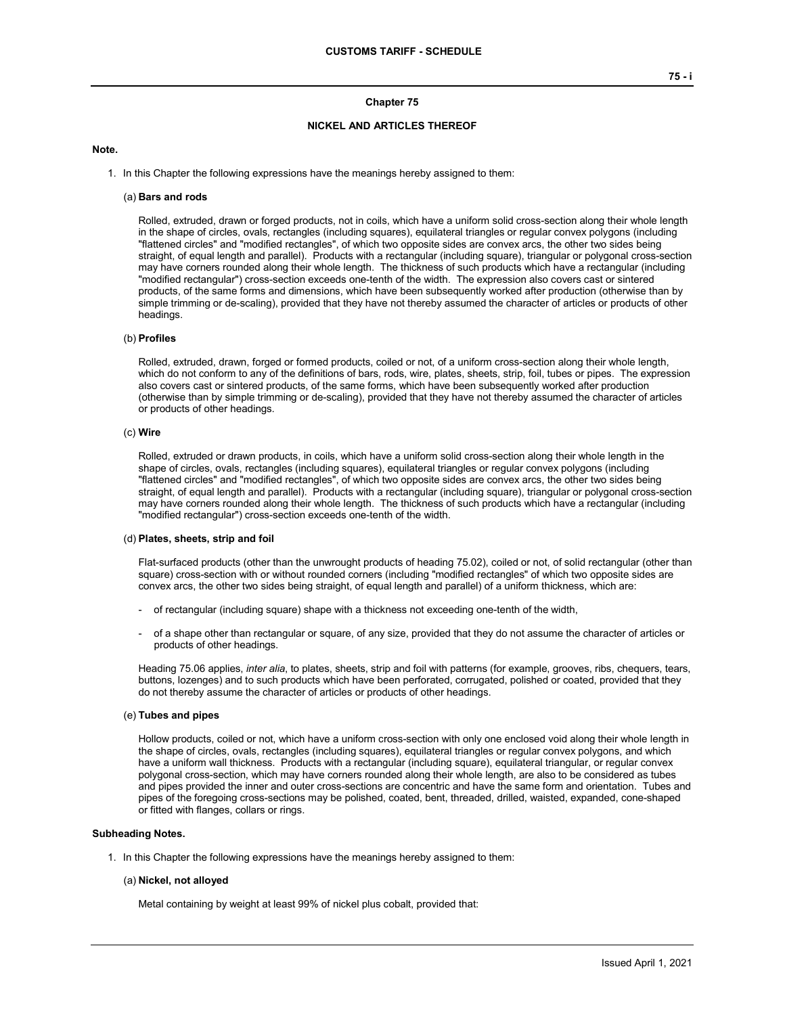# **Chapter 75**

# **NICKEL AND ARTICLES THEREOF**

#### **Note.**

1. In this Chapter the following expressions have the meanings hereby assigned to them:

### (a) **Bars and rods**

Rolled, extruded, drawn or forged products, not in coils, which have a uniform solid cross-section along their whole length in the shape of circles, ovals, rectangles (including squares), equilateral triangles or regular convex polygons (including "flattened circles" and "modified rectangles", of which two opposite sides are convex arcs, the other two sides being straight, of equal length and parallel). Products with a rectangular (including square), triangular or polygonal cross-section may have corners rounded along their whole length. The thickness of such products which have a rectangular (including "modified rectangular") cross-section exceeds one-tenth of the width. The expression also covers cast or sintered products, of the same forms and dimensions, which have been subsequently worked after production (otherwise than by simple trimming or de-scaling), provided that they have not thereby assumed the character of articles or products of other headings.

## (b) **Profiles**

Rolled, extruded, drawn, forged or formed products, coiled or not, of a uniform cross-section along their whole length, which do not conform to any of the definitions of bars, rods, wire, plates, sheets, strip, foil, tubes or pipes. The expression also covers cast or sintered products, of the same forms, which have been subsequently worked after production (otherwise than by simple trimming or de-scaling), provided that they have not thereby assumed the character of articles or products of other headings.

#### (c) **Wire**

Rolled, extruded or drawn products, in coils, which have a uniform solid cross-section along their whole length in the shape of circles, ovals, rectangles (including squares), equilateral triangles or regular convex polygons (including "flattened circles" and "modified rectangles", of which two opposite sides are convex arcs, the other two sides being straight, of equal length and parallel). Products with a rectangular (including square), triangular or polygonal cross-section may have corners rounded along their whole length. The thickness of such products which have a rectangular (including "modified rectangular") cross-section exceeds one-tenth of the width.

#### (d) **Plates, sheets, strip and foil**

Flat-surfaced products (other than the unwrought products of heading 75.02), coiled or not, of solid rectangular (other than square) cross-section with or without rounded corners (including "modified rectangles" of which two opposite sides are convex arcs, the other two sides being straight, of equal length and parallel) of a uniform thickness, which are:

- of rectangular (including square) shape with a thickness not exceeding one-tenth of the width,
- of a shape other than rectangular or square, of any size, provided that they do not assume the character of articles or products of other headings.

Heading 75.06 applies, *inter alia*, to plates, sheets, strip and foil with patterns (for example, grooves, ribs, chequers, tears, buttons, lozenges) and to such products which have been perforated, corrugated, polished or coated, provided that they do not thereby assume the character of articles or products of other headings.

#### (e) **Tubes and pipes**

Hollow products, coiled or not, which have a uniform cross-section with only one enclosed void along their whole length in the shape of circles, ovals, rectangles (including squares), equilateral triangles or regular convex polygons, and which have a uniform wall thickness. Products with a rectangular (including square), equilateral triangular, or regular convex polygonal cross-section, which may have corners rounded along their whole length, are also to be considered as tubes and pipes provided the inner and outer cross-sections are concentric and have the same form and orientation. Tubes and pipes of the foregoing cross-sections may be polished, coated, bent, threaded, drilled, waisted, expanded, cone-shaped or fitted with flanges, collars or rings.

### **Subheading Notes.**

1. In this Chapter the following expressions have the meanings hereby assigned to them:

#### (a) **Nickel, not alloyed**

Metal containing by weight at least 99% of nickel plus cobalt, provided that: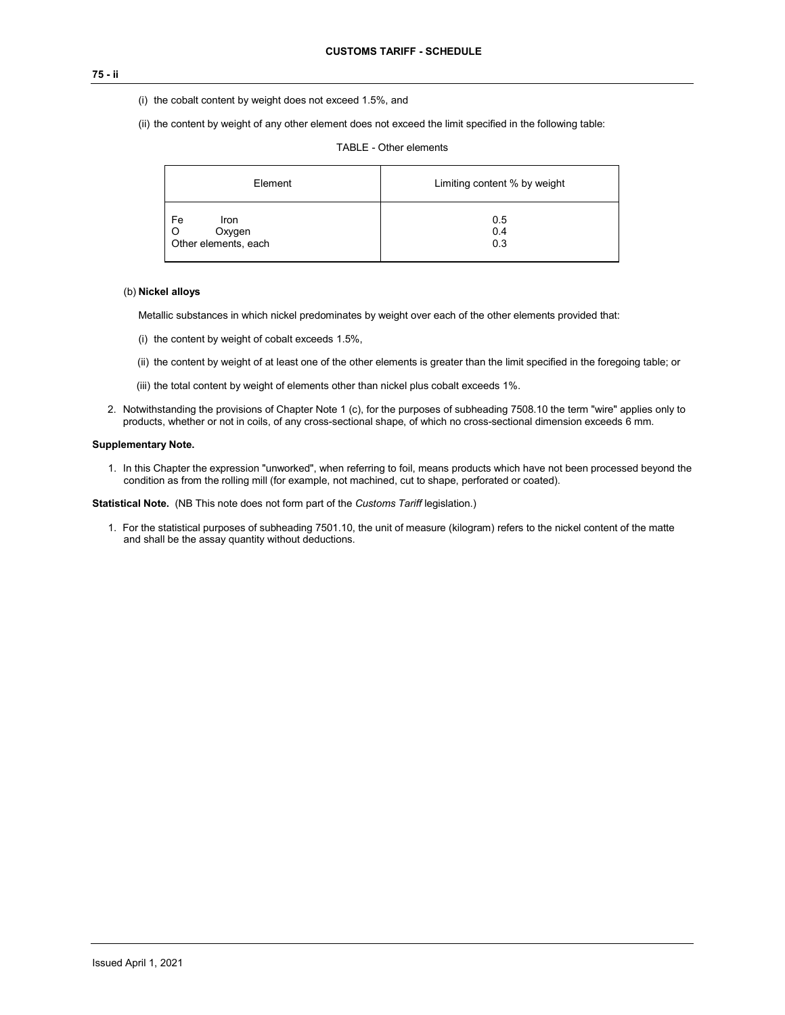# **75 - ii**

- (i) the cobalt content by weight does not exceed 1.5%, and
- (ii) the content by weight of any other element does not exceed the limit specified in the following table:

|         | Element               | Limiting content % by weight |  |  |
|---------|-----------------------|------------------------------|--|--|
| Fe<br>O | <b>Iron</b><br>Oxygen | 0.5<br>0.4                   |  |  |

# TABLE - Other elements

## (b) **Nickel alloys**

Metallic substances in which nickel predominates by weight over each of the other elements provided that:

(i) the content by weight of cobalt exceeds 1.5%,

Other elements, each

(ii) the content by weight of at least one of the other elements is greater than the limit specified in the foregoing table; or

0.3

- (iii) the total content by weight of elements other than nickel plus cobalt exceeds 1%.
- 2. Notwithstanding the provisions of Chapter Note 1 (c), for the purposes of subheading 7508.10 the term "wire" applies only to products, whether or not in coils, of any cross-sectional shape, of which no cross-sectional dimension exceeds 6 mm.

## **Supplementary Note.**

1. In this Chapter the expression "unworked", when referring to foil, means products which have not been processed beyond the condition as from the rolling mill (for example, not machined, cut to shape, perforated or coated).

**Statistical Note.** (NB This note does not form part of the *Customs Tariff* legislation.)

1. For the statistical purposes of subheading 7501.10, the unit of measure (kilogram) refers to the nickel content of the matte and shall be the assay quantity without deductions.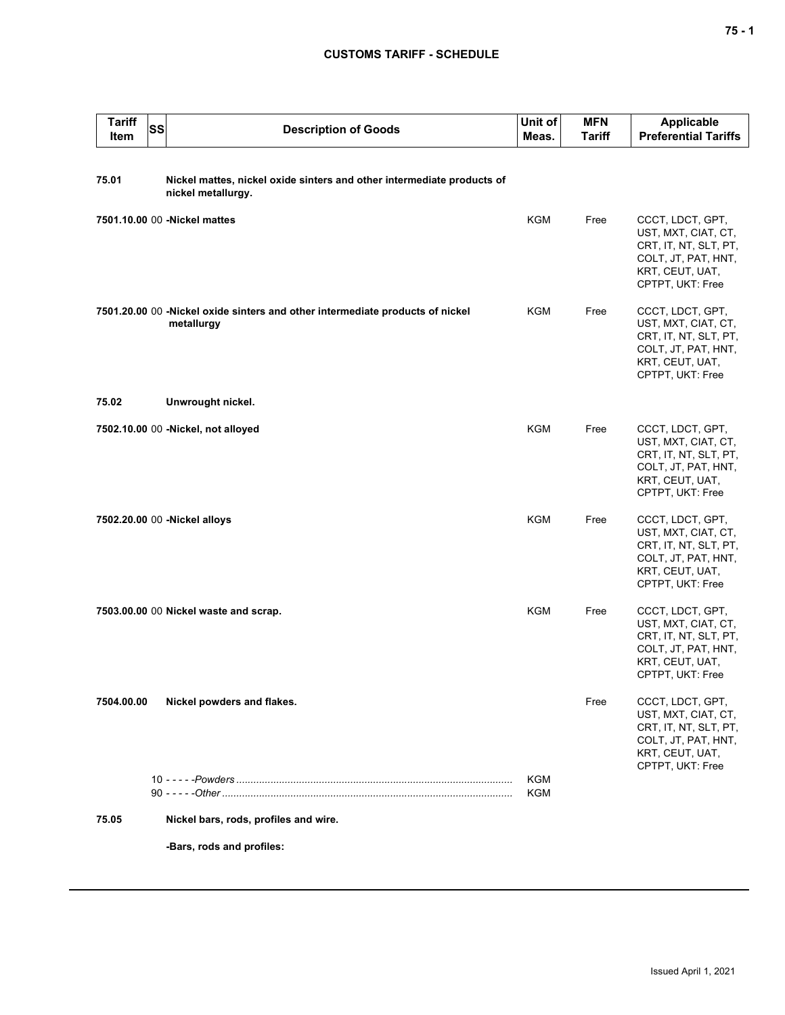# **CUSTOMS TARIFF - SCHEDULE**

| <b>Tariff</b><br>Item | <b>SS</b> | <b>Description of Goods</b>                                                                  | Unit of<br>Meas. | <b>MFN</b><br><b>Tariff</b> | Applicable<br><b>Preferential Tariffs</b>                                                                                      |
|-----------------------|-----------|----------------------------------------------------------------------------------------------|------------------|-----------------------------|--------------------------------------------------------------------------------------------------------------------------------|
| 75.01                 |           | Nickel mattes, nickel oxide sinters and other intermediate products of<br>nickel metallurgy. |                  |                             |                                                                                                                                |
|                       |           | 7501.10.00 00 - Nickel mattes                                                                | <b>KGM</b>       | Free                        | CCCT, LDCT, GPT,<br>UST, MXT, CIAT, CT,<br>CRT, IT, NT, SLT, PT,<br>COLT, JT, PAT, HNT,<br>KRT, CEUT, UAT,<br>CPTPT, UKT: Free |
|                       |           | 7501.20.00 00 -Nickel oxide sinters and other intermediate products of nickel<br>metallurgy  | KGM              | Free                        | CCCT, LDCT, GPT,<br>UST, MXT, CIAT, CT,<br>CRT, IT, NT, SLT, PT,<br>COLT, JT, PAT, HNT,<br>KRT, CEUT, UAT,<br>CPTPT, UKT: Free |
| 75.02                 |           | Unwrought nickel.                                                                            |                  |                             |                                                                                                                                |
|                       |           | 7502.10.00 00 -Nickel, not alloyed                                                           | KGM              | Free                        | CCCT, LDCT, GPT,<br>UST, MXT, CIAT, CT,<br>CRT, IT, NT, SLT, PT,<br>COLT, JT, PAT, HNT,<br>KRT, CEUT, UAT,<br>CPTPT, UKT: Free |
|                       |           | 7502.20.00 00 - Nickel alloys                                                                | KGM              | Free                        | CCCT, LDCT, GPT,<br>UST, MXT, CIAT, CT,<br>CRT, IT, NT, SLT, PT,<br>COLT, JT, PAT, HNT,<br>KRT, CEUT, UAT,<br>CPTPT, UKT: Free |
|                       |           | 7503.00.00 00 Nickel waste and scrap.                                                        | KGM              | Free                        | CCCT, LDCT, GPT,<br>UST, MXT, CIAT, CT,<br>CRT, IT, NT, SLT, PT,<br>COLT, JT, PAT, HNT,<br>KRT, CEUT, UAT,<br>CPTPT, UKT: Free |
| 7504.00.00            |           | Nickel powders and flakes.                                                                   |                  | Free                        | CCCT, LDCT, GPT,<br>UST, MXT, CIAT, CT,<br>CRT, IT, NT, SLT, PT,<br>COLT, JT, PAT, HNT,<br>KRT, CEUT, UAT,<br>CPTPT, UKT: Free |
|                       |           |                                                                                              | KGM<br>KGM       |                             |                                                                                                                                |
| 75.05                 |           | Nickel bars, rods, profiles and wire.                                                        |                  |                             |                                                                                                                                |
|                       |           | -Bars, rods and profiles:                                                                    |                  |                             |                                                                                                                                |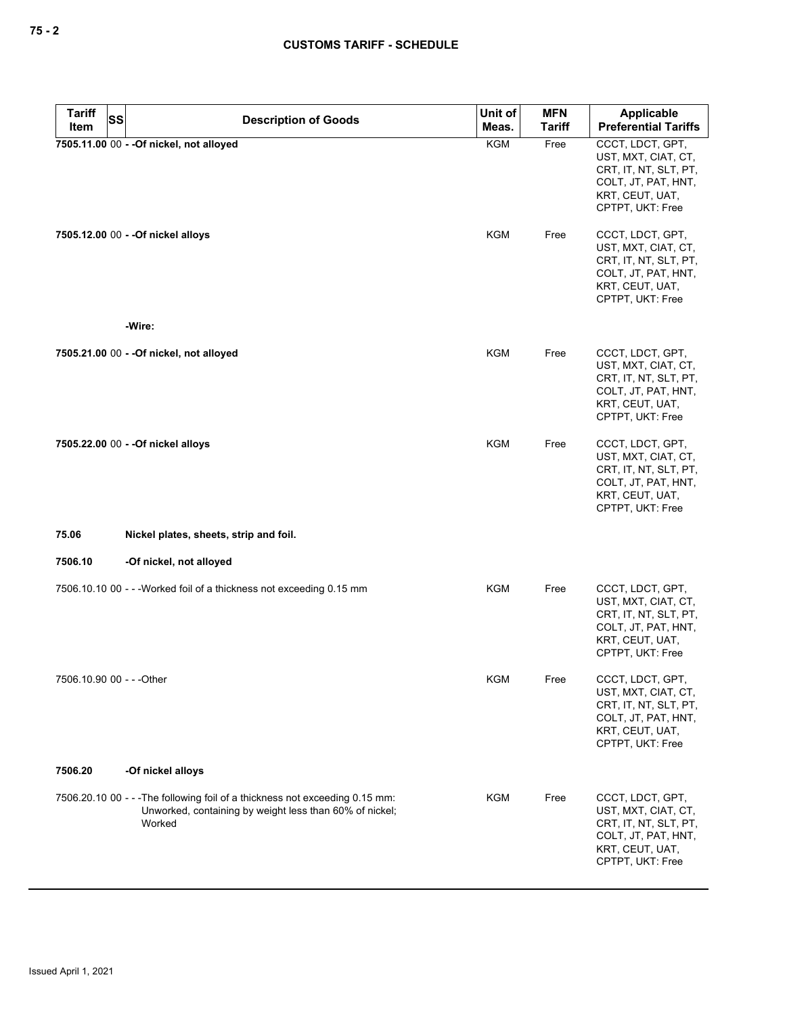| <b>Tariff</b>             | <b>SS</b><br><b>Description of Goods</b>                                                                                                          | Unit of    | <b>MFN</b>    | <b>Applicable</b>                                                                                                              |
|---------------------------|---------------------------------------------------------------------------------------------------------------------------------------------------|------------|---------------|--------------------------------------------------------------------------------------------------------------------------------|
| Item                      |                                                                                                                                                   | Meas.      | <b>Tariff</b> | <b>Preferential Tariffs</b>                                                                                                    |
|                           | 7505.11.00 00 - - Of nickel, not alloyed                                                                                                          | <b>KGM</b> | Free          | CCCT, LDCT, GPT,<br>UST, MXT, CIAT, CT,<br>CRT, IT, NT, SLT, PT,<br>COLT, JT, PAT, HNT,<br>KRT, CEUT, UAT,<br>CPTPT, UKT: Free |
|                           | 7505.12.00 00 - - Of nickel alloys                                                                                                                | <b>KGM</b> | Free          | CCCT, LDCT, GPT,<br>UST, MXT, CIAT, CT,<br>CRT, IT, NT, SLT, PT,<br>COLT, JT, PAT, HNT,<br>KRT, CEUT, UAT,<br>CPTPT, UKT: Free |
|                           | -Wire:                                                                                                                                            |            |               |                                                                                                                                |
|                           | 7505.21.00 00 - - Of nickel, not alloyed                                                                                                          | <b>KGM</b> | Free          | CCCT, LDCT, GPT,<br>UST, MXT, CIAT, CT,<br>CRT, IT, NT, SLT, PT,<br>COLT, JT, PAT, HNT,<br>KRT, CEUT, UAT,<br>CPTPT, UKT: Free |
|                           | 7505.22.00 00 - - Of nickel alloys                                                                                                                | <b>KGM</b> | Free          | CCCT, LDCT, GPT,<br>UST, MXT, CIAT, CT,<br>CRT, IT, NT, SLT, PT,<br>COLT, JT, PAT, HNT,<br>KRT, CEUT, UAT,<br>CPTPT, UKT: Free |
| 75.06                     | Nickel plates, sheets, strip and foil.                                                                                                            |            |               |                                                                                                                                |
| 7506.10                   | -Of nickel, not alloyed                                                                                                                           |            |               |                                                                                                                                |
|                           | 7506.10.10 00 - - - Worked foil of a thickness not exceeding 0.15 mm                                                                              | <b>KGM</b> | Free          | CCCT, LDCT, GPT,<br>UST, MXT, CIAT, CT,<br>CRT, IT, NT, SLT, PT,<br>COLT, JT, PAT, HNT,<br>KRT, CEUT, UAT,<br>CPTPT, UKT: Free |
| 7506.10.90 00 - - - Other |                                                                                                                                                   | KGM        | Free          | CCCT, LDCT, GPT,<br>UST, MXT, CIAT, CT,<br>CRT, IT, NT, SLT, PT,<br>COLT, JT, PAT, HNT,<br>KRT, CEUT, UAT,<br>CPTPT, UKT: Free |
| 7506.20                   | -Of nickel alloys                                                                                                                                 |            |               |                                                                                                                                |
|                           | 7506.20.10 00 - - - The following foil of a thickness not exceeding 0.15 mm:<br>Unworked, containing by weight less than 60% of nickel;<br>Worked | KGM        | Free          | CCCT, LDCT, GPT,<br>UST, MXT, CIAT, CT,<br>CRT, IT, NT, SLT, PT,<br>COLT, JT, PAT, HNT,<br>KRT, CEUT, UAT,<br>CPTPT, UKT: Free |